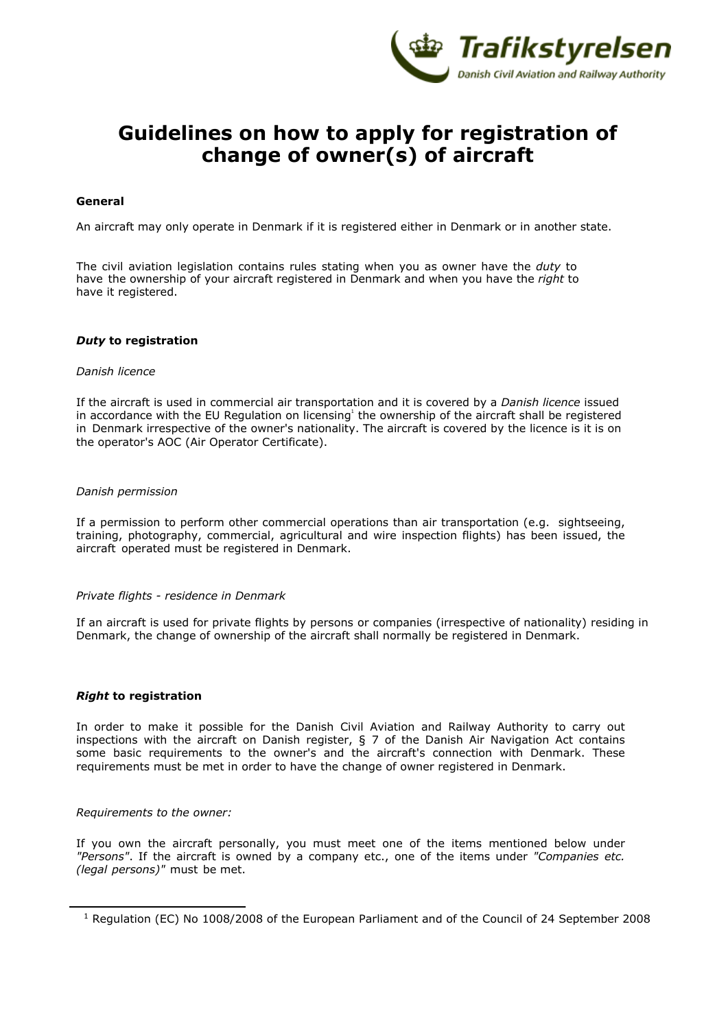

# **Guidelines on how to apply for registration of change of owner(s) of aircraft**

## **General**

An aircraft may only operate in Denmark if it is registered either in Denmark or in another state.

The civil aviation legislation contains rules stating when you as owner have the *duty* to have the ownership of your aircraft registered in Denmark and when you have the *right* to have it registered.

#### *Duty* **to registration**

#### *Danish licence*

If the aircraft is used in commercial air transportation and it is covered by a *Danish licence* issued in accordance with the EU Regulation on licensing<sup>1</sup> the ownership of the aircraft shall be registered in Denmark irrespective of the owner's nationality. The aircraft is covered by the licence is it is on the operator's AOC (Air Operator Certificate).

#### *Danish permission*

If a permission to perform other commercial operations than air transportation (e.g. sightseeing, training, photography, commercial, agricultural and wire inspection flights) has been issued, the aircraft operated must be registered in Denmark.

#### *Private flights - residence in Denmark*

If an aircraft is used for private flights by persons or companies (irrespective of nationality) residing in Denmark, the change of ownership of the aircraft shall normally be registered in Denmark.

#### *Right* **to registration**

In order to make it possible for the Danish Civil Aviation and Railway Authority to carry out inspections with the aircraft on Danish register, § 7 of the Danish Air Navigation Act contains some basic requirements to the owner's and the aircraft's connection with Denmark. These requirements must be met in order to have the change of owner registered in Denmark.

#### *Requirements to the owner:*

If you own the aircraft personally, you must meet one of the items mentioned below under *"Persons"*. If the aircraft is owned by a company etc., one of the items under *"Companies etc. (legal persons)"* must be met.

<sup>1</sup> Regulation (EC) No 1008/2008 of the European Parliament and of the Council of 24 September 2008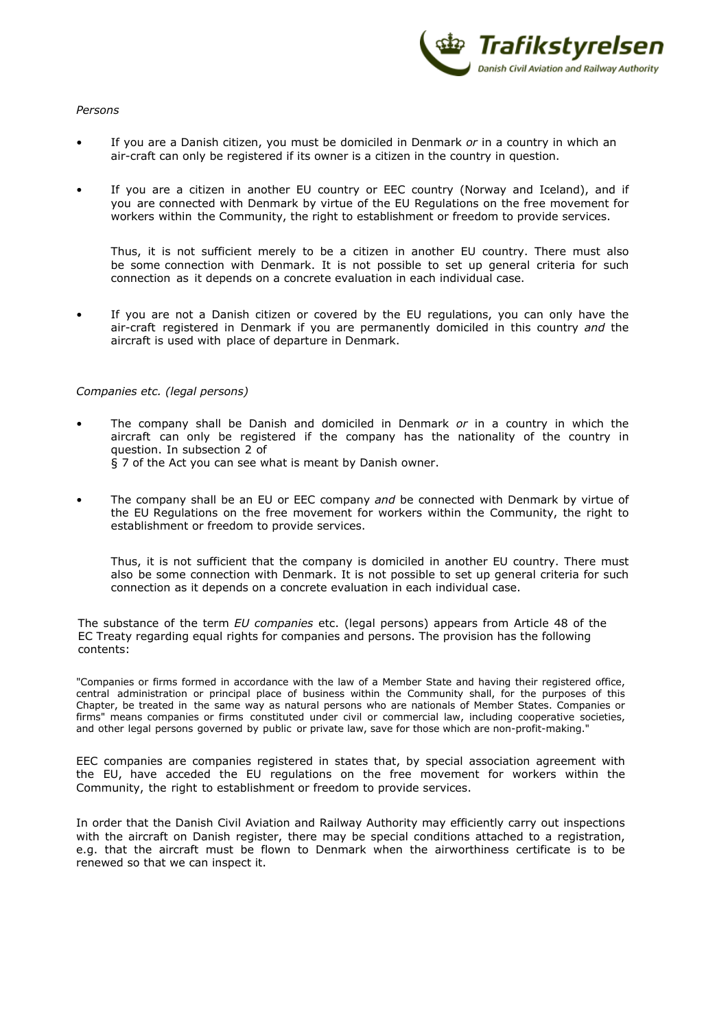

# *Persons*

- If you are a Danish citizen, you must be domiciled in Denmark *or* in a country in which an air-craft can only be registered if its owner is a citizen in the country in question.
- If you are a citizen in another EU country or EEC country (Norway and Iceland), and if you are connected with Denmark by virtue of the EU Regulations on the free movement for workers within the Community, the right to establishment or freedom to provide services.

Thus, it is not sufficient merely to be a citizen in another EU country. There must also be some connection with Denmark. It is not possible to set up general criteria for such connection as it depends on a concrete evaluation in each individual case.

If you are not a Danish citizen or covered by the EU regulations, you can only have the air-craft registered in Denmark if you are permanently domiciled in this country *and* the aircraft is used with place of departure in Denmark.

# *Companies etc. (legal persons)*

- The company shall be Danish and domiciled in Denmark *or* in a country in which the aircraft can only be registered if the company has the nationality of the country in question. In subsection 2 of § 7 of the Act you can see what is meant by Danish owner.
- The company shall be an EU or EEC company *and* be connected with Denmark by virtue of the EU Regulations on the free movement for workers within the Community, the right to establishment or freedom to provide services.

Thus, it is not sufficient that the company is domiciled in another EU country. There must also be some connection with Denmark. It is not possible to set up general criteria for such connection as it depends on a concrete evaluation in each individual case.

The substance of the term *EU companies* etc. (legal persons) appears from Article 48 of the EC Treaty regarding equal rights for companies and persons. The provision has the following contents:

"Companies or firms formed in accordance with the law of a Member State and having their registered office, central administration or principal place of business within the Community shall, for the purposes of this Chapter, be treated in the same way as natural persons who are nationals of Member States. Companies or firms" means companies or firms constituted under civil or commercial law, including cooperative societies, and other legal persons governed by public or private law, save for those which are non-profit-making."

EEC companies are companies registered in states that, by special association agreement with the EU, have acceded the EU regulations on the free movement for workers within the Community, the right to establishment or freedom to provide services.

In order that the Danish Civil Aviation and Railway Authority may efficiently carry out inspections with the aircraft on Danish register, there may be special conditions attached to a registration, e.g. that the aircraft must be flown to Denmark when the airworthiness certificate is to be renewed so that we can inspect it.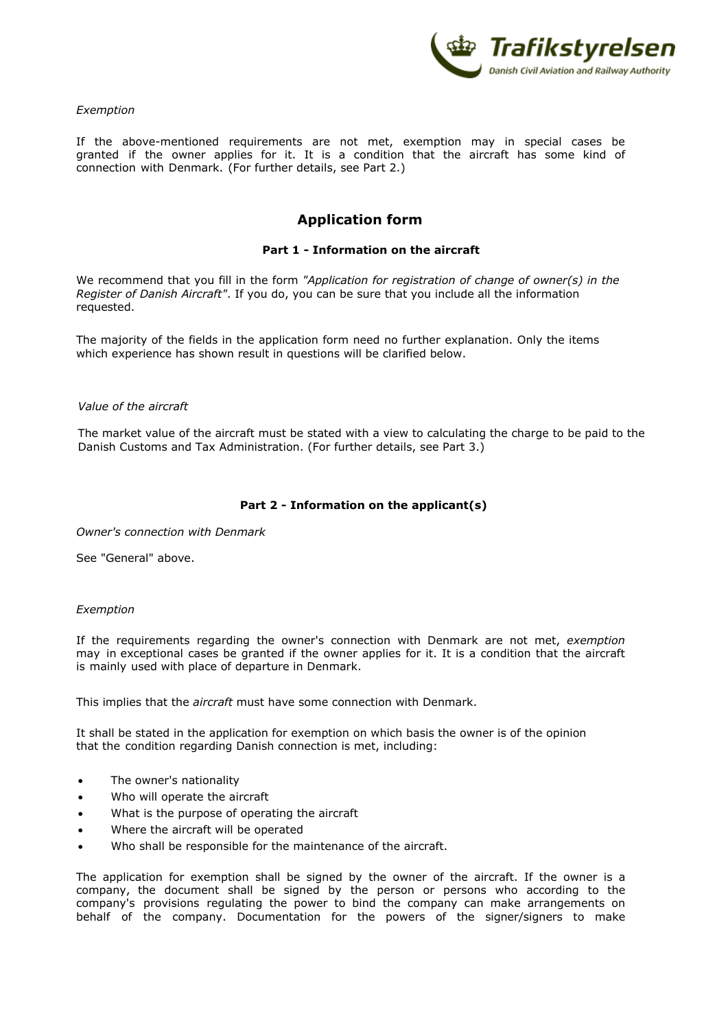

*Exemption*

If the above-mentioned requirements are not met, exemption may in special cases be granted if the owner applies for it. It is a condition that the aircraft has some kind of connection with Denmark. (For further details, see Part 2.)

# **Application form**

# **Part 1 - Information on the aircraft**

We recommend that you fill in the form *"Application for registration of change of owner(s) in the Register of Danish Aircraft"*. If you do, you can be sure that you include all the information requested.

The majority of the fields in the application form need no further explanation. Only the items which experience has shown result in questions will be clarified below.

#### *Value of the aircraft*

The market value of the aircraft must be stated with a view to calculating the charge to be paid to the Danish Customs and Tax Administration. (For further details, see Part 3.)

# **Part 2 - Information on the applicant(s)**

*Owner's connection with Denmark*

See "General" above.

#### *Exemption*

If the requirements regarding the owner's connection with Denmark are not met, *exemption* may in exceptional cases be granted if the owner applies for it. It is a condition that the aircraft is mainly used with place of departure in Denmark.

This implies that the *aircraft* must have some connection with Denmark.

It shall be stated in the application for exemption on which basis the owner is of the opinion that the condition regarding Danish connection is met, including:

- The owner's nationality
- Who will operate the aircraft
- What is the purpose of operating the aircraft
- Where the aircraft will be operated
- Who shall be responsible for the maintenance of the aircraft.

The application for exemption shall be signed by the owner of the aircraft. If the owner is a company, the document shall be signed by the person or persons who according to the company's provisions regulating the power to bind the company can make arrangements on behalf of the company. Documentation for the powers of the signer/signers to make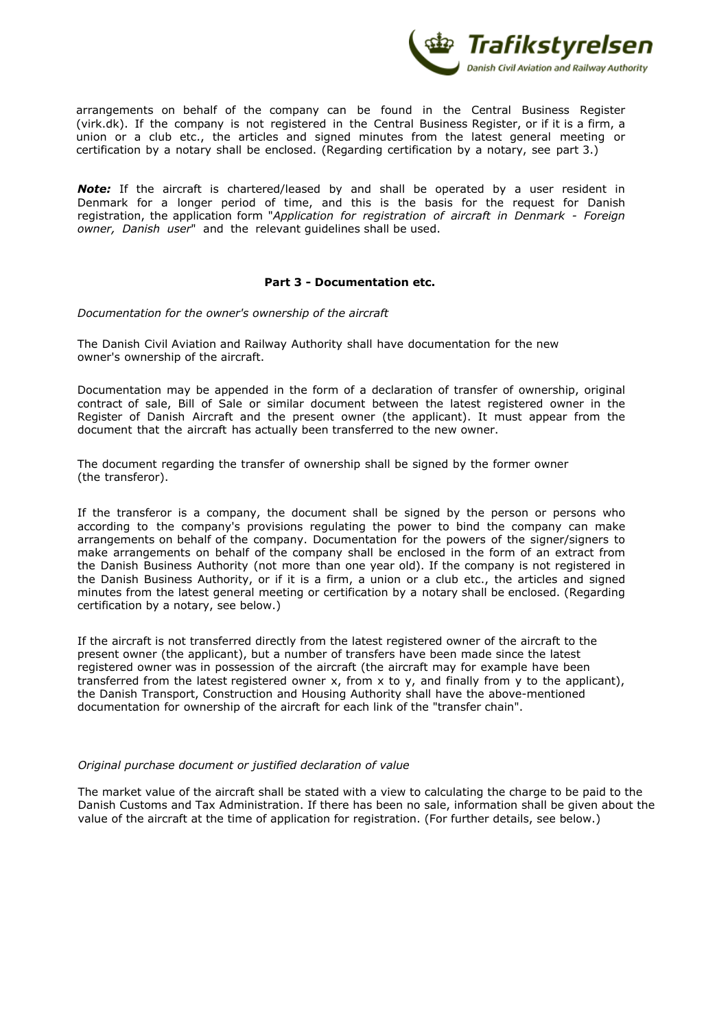

arrangements on behalf of the company can be found in the Central Business Register (virk.dk). If the company is not registered in the Central Business Register, or if it is a firm, a union or a club etc., the articles and signed minutes from the latest general meeting or certification by a notary shall be enclosed. (Regarding certification by a notary, see part 3.)

**Note:** If the aircraft is chartered/leased by and shall be operated by a user resident in Denmark for a longer period of time, and this is the basis for the request for Danish registration, the application form "*Application for registration of aircraft in Denmark - Foreign owner, Danish user*" and the relevant guidelines shall be used.

# **Part 3 - Documentation etc.**

*Documentation for the owner's ownership of the aircraft*

The Danish Civil Aviation and Railway Authority shall have documentation for the new owner's ownership of the aircraft.

Documentation may be appended in the form of a declaration of transfer of ownership, original contract of sale, Bill of Sale or similar document between the latest registered owner in the Register of Danish Aircraft and the present owner (the applicant). It must appear from the document that the aircraft has actually been transferred to the new owner.

The document regarding the transfer of ownership shall be signed by the former owner (the transferor).

If the transferor is a company, the document shall be signed by the person or persons who according to the company's provisions regulating the power to bind the company can make arrangements on behalf of the company. Documentation for the powers of the signer/signers to make arrangements on behalf of the company shall be enclosed in the form of an extract from the Danish Business Authority (not more than one year old). If the company is not registered in the Danish Business Authority, or if it is a firm, a union or a club etc., the articles and signed minutes from the latest general meeting or certification by a notary shall be enclosed. (Regarding certification by a notary, see below.)

If the aircraft is not transferred directly from the latest registered owner of the aircraft to the present owner (the applicant), but a number of transfers have been made since the latest registered owner was in possession of the aircraft (the aircraft may for example have been transferred from the latest registered owner x, from x to y, and finally from y to the applicant), the Danish Transport, Construction and Housing Authority shall have the above-mentioned documentation for ownership of the aircraft for each link of the "transfer chain".

#### *Original purchase document or justified declaration of value*

The market value of the aircraft shall be stated with a view to calculating the charge to be paid to the Danish Customs and Tax Administration. If there has been no sale, information shall be given about the value of the aircraft at the time of application for registration. (For further details, see below.)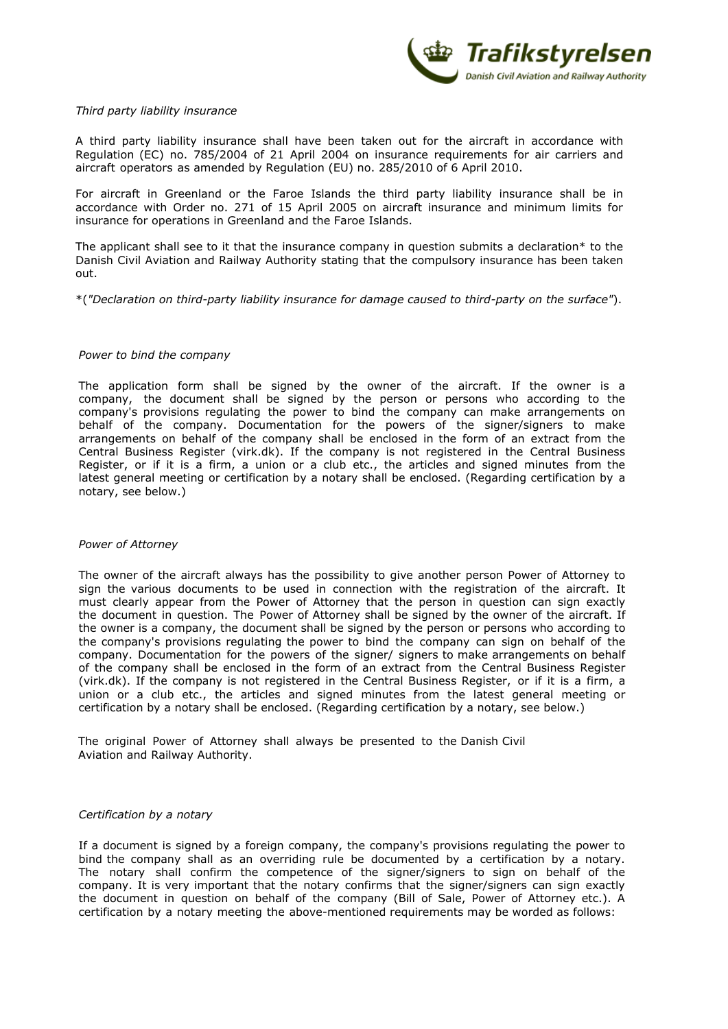

# *Third party liability insurance*

A third party liability insurance shall have been taken out for the aircraft in accordance with Regulation (EC) no. 785/2004 of 21 April 2004 on insurance requirements for air carriers and aircraft operators as amended by Regulation (EU) no. 285/2010 of 6 April 2010.

For aircraft in Greenland or the Faroe Islands the third party liability insurance shall be in accordance with Order no. 271 of 15 April 2005 on aircraft insurance and minimum limits for insurance for operations in Greenland and the Faroe Islands.

The applicant shall see to it that the insurance company in question submits a declaration\* to the Danish Civil Aviation and Railway Authority stating that the compulsory insurance has been taken out.

\*(*"Declaration on third-party liability insurance for damage caused to third-party on the surface"*).

# *Power to bind the company*

The application form shall be signed by the owner of the aircraft. If the owner is a company, the document shall be signed by the person or persons who according to the company's provisions regulating the power to bind the company can make arrangements on behalf of the company. Documentation for the powers of the signer/signers to make arrangements on behalf of the company shall be enclosed in the form of an extract from the Central Business Register (virk.dk). If the company is not registered in the Central Business Register, or if it is a firm, a union or a club etc., the articles and signed minutes from the latest general meeting or certification by a notary shall be enclosed. (Regarding certification by a notary, see below.)

#### *Power of Attorney*

The owner of the aircraft always has the possibility to give another person Power of Attorney to sign the various documents to be used in connection with the registration of the aircraft. It must clearly appear from the Power of Attorney that the person in question can sign exactly the document in question. The Power of Attorney shall be signed by the owner of the aircraft. If the owner is a company, the document shall be signed by the person or persons who according to the company's provisions regulating the power to bind the company can sign on behalf of the company. Documentation for the powers of the signer/ signers to make arrangements on behalf of the company shall be enclosed in the form of an extract from the Central Business Register (virk.dk). If the company is not registered in the Central Business Register, or if it is a firm, a union or a club etc., the articles and signed minutes from the latest general meeting or certification by a notary shall be enclosed. (Regarding certification by a notary, see below.)

The original Power of Attorney shall always be presented to the Danish Civil Aviation and Railway Authority.

# *Certification by a notary*

If a document is signed by a foreign company, the company's provisions regulating the power to bind the company shall as an overriding rule be documented by a certification by a notary. The notary shall confirm the competence of the signer/signers to sign on behalf of the company. It is very important that the notary confirms that the signer/signers can sign exactly the document in question on behalf of the company (Bill of Sale, Power of Attorney etc.). A certification by a notary meeting the above-mentioned requirements may be worded as follows: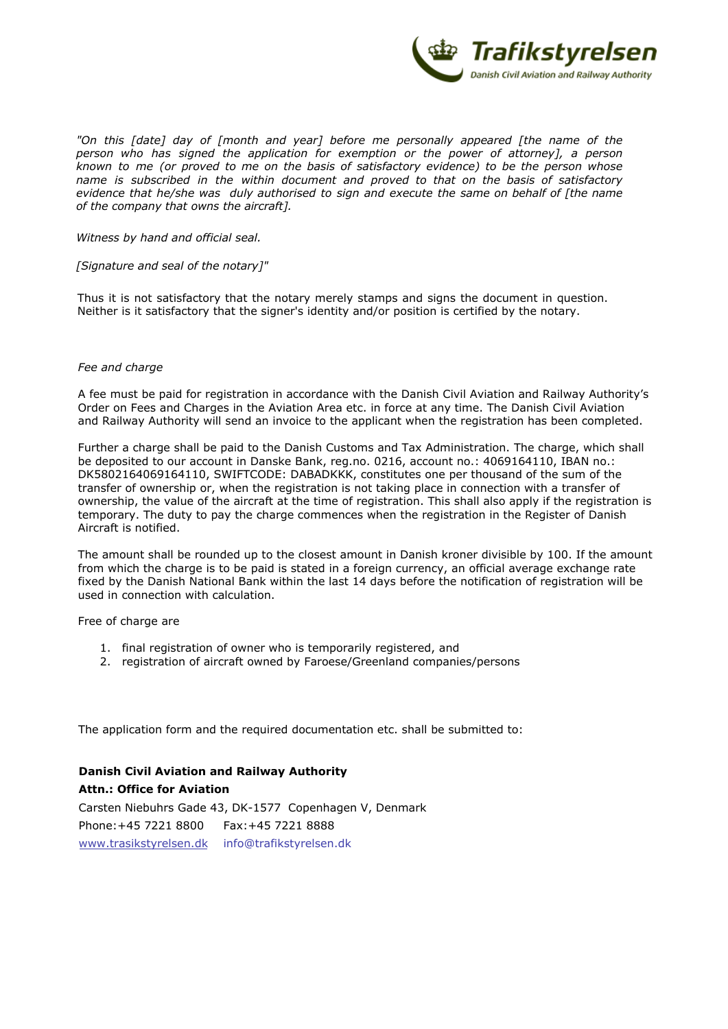

*"On this [date] day of [month and year] before me personally appeared [the name of the person who has signed the application for exemption or the power of attorney], a person known to me (or proved to me on the basis of satisfactory evidence) to be the person whose name is subscribed in the within document and proved to that on the basis of satisfactory evidence that he/she was duly authorised to sign and execute the same on behalf of [the name of the company that owns the aircraft].*

*Witness by hand and official seal.* 

*[Signature and seal of the notary]"*

Thus it is not satisfactory that the notary merely stamps and signs the document in question. Neither is it satisfactory that the signer's identity and/or position is certified by the notary.

# *Fee and charge*

A fee must be paid for registration in accordance with the Danish Civil Aviation and Railway Authority's Order on Fees and Charges in the Aviation Area etc. in force at any time. The Danish Civil Aviation and Railway Authority will send an invoice to the applicant when the registration has been completed.

Further a charge shall be paid to the Danish Customs and Tax Administration. The charge, which shall be deposited to our account in Danske Bank, reg.no. 0216, account no.: 4069164110, IBAN no.: DK5802164069164110, SWIFTCODE: DABADKKK, constitutes one per thousand of the sum of the transfer of ownership or, when the registration is not taking place in connection with a transfer of ownership, the value of the aircraft at the time of registration. This shall also apply if the registration is temporary. The duty to pay the charge commences when the registration in the Register of Danish Aircraft is notified.

The amount shall be rounded up to the closest amount in Danish kroner divisible by 100. If the amount from which the charge is to be paid is stated in a foreign currency, an official average exchange rate fixed by the Danish National Bank within the last 14 days before the notification of registration will be used in connection with calculation.

Free of charge are

- 1. final registration of owner who is temporarily registered, and
- 2. registration of aircraft owned by Faroese/Greenland companies/persons

The application form and the required documentation etc. shall be submitted to:

**Danish Civil Aviation and Railway Authority Attn.: Office for Aviation** Carsten Niebuhrs Gade 43, DK-1577 Copenhagen [V](https://tbst.dk/en), Denmark Phone:+45 7221 8800 Fax:+45 7221 8888 www.trasikstyrelsen.dk info@trafikstyrelsen.dk